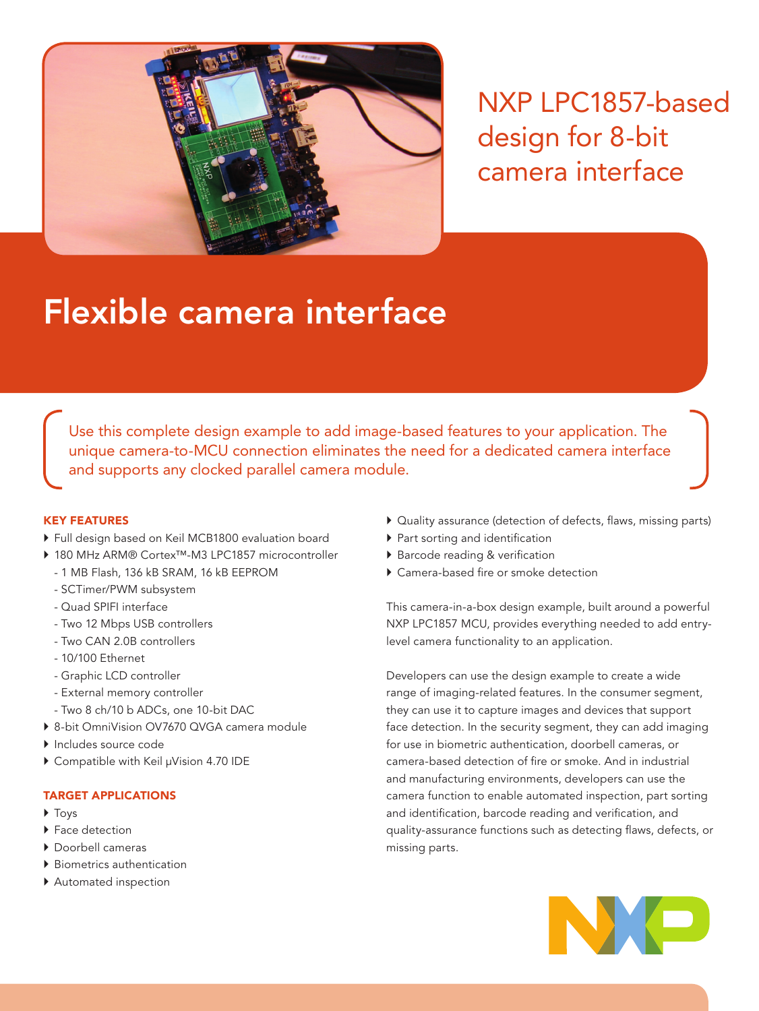

NXP LPC1857-based design for 8-bit camera interface

# Flexible camera interface

Use this complete design example to add image-based features to your application. The unique camera-to-MCU connection eliminates the need for a dedicated camera interface and supports any clocked parallel camera module.

# KEY FEATURES

- $\triangleright$  Full design based on Keil MCB1800 evaluation board
- ` 180 MHz ARM® Cortex™-M3 LPC1857 microcontroller
	- 1 MB Flash, 136 kB SRAM, 16 kB EEPROM
	- SCTimer/PWM subsystem
	- Quad SPIFI interface
	- Two 12 Mbps USB controllers
	- Two CAN 2.0B controllers
	- 10/100 Ethernet
	- Graphic LCD controller
	- External memory controller
	- Two 8 ch/10 b ADCs, one 10-bit DAC
- ▶ 8-bit OmniVision OV7670 QVGA camera module
- ` Includes source code
- ▶ Compatible with Keil µVision 4.70 IDE

# TARGET APPLICATIONS

- $\triangleright$  Tovs
- $\blacktriangleright$  Face detection
- ` Doorbell cameras
- **Biometrics authentication**
- ` Automated inspection
- $\triangleright$  Quality assurance (detection of defects, flaws, missing parts)
- ` Part sorting and identification
- ▶ Barcode reading & verification
- $\triangleright$  Camera-based fire or smoke detection

This camera-in-a-box design example, built around a powerful NXP LPC1857 MCU, provides everything needed to add entrylevel camera functionality to an application.

Developers can use the design example to create a wide range of imaging-related features. In the consumer segment, they can use it to capture images and devices that support face detection. In the security segment, they can add imaging for use in biometric authentication, doorbell cameras, or camera-based detection of fire or smoke. And in industrial and manufacturing environments, developers can use the camera function to enable automated inspection, part sorting and identification, barcode reading and verification, and quality-assurance functions such as detecting flaws, defects, or missing parts.